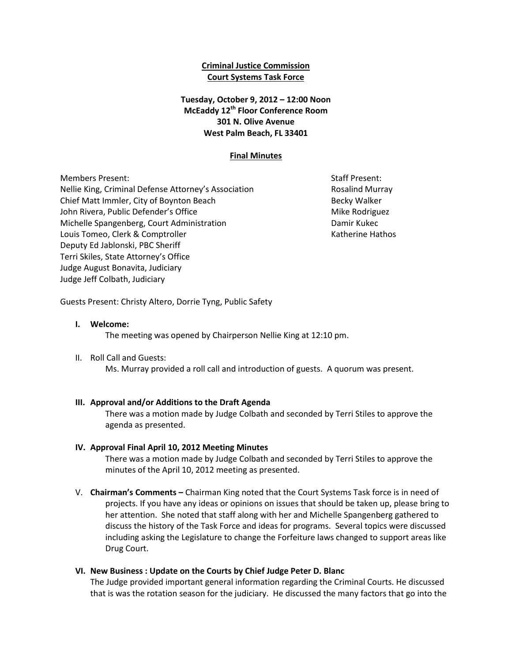# **Criminal Justice Commission Court Systems Task Force**

# **Tuesday, October 9, 2012 – 12:00 Noon McEaddy 12th Floor Conference Room 301 N. Olive Avenue West Palm Beach, FL 33401**

## **Final Minutes**

Members Present: Staff Present: Staff Present: Staff Present: Staff Present: Staff Present: Staff Present: Staff Present: Staff Present: Staff Present: Staff Present: Staff Present: Staff Present: Staff Present: Staff Pres Nellie King, Criminal Defense Attorney's Association **Research Rosalind Murray** Chief Matt Immler, City of Boynton Beach Becky Walker Becky Walker John Rivera, Public Defender's Office Mike Rodriguez Mike Rodriguez Michelle Spangenberg, Court Administration Damir Kukec Louis Tomeo, Clerk & Comptroller 
and the Compton Clerk and the Computer of Computer Authorized European Mathos Deputy Ed Jablonski, PBC Sheriff Terri Skiles, State Attorney's Office Judge August Bonavita, Judiciary Judge Jeff Colbath, Judiciary

Guests Present: Christy Altero, Dorrie Tyng, Public Safety

#### **I. Welcome:**

The meeting was opened by Chairperson Nellie King at 12:10 pm.

II. Roll Call and Guests:

Ms. Murray provided a roll call and introduction of guests. A quorum was present.

# **III. Approval and/or Additions to the Draft Agenda**

There was a motion made by Judge Colbath and seconded by Terri Stiles to approve the agenda as presented.

# **IV. Approval Final April 10, 2012 Meeting Minutes**

There was a motion made by Judge Colbath and seconded by Terri Stiles to approve the minutes of the April 10, 2012 meeting as presented.

V. **Chairman's Comments –** Chairman King noted that the Court Systems Task force is in need of projects. If you have any ideas or opinions on issues that should be taken up, please bring to her attention. She noted that staff along with her and Michelle Spangenberg gathered to discuss the history of the Task Force and ideas for programs. Several topics were discussed including asking the Legislature to change the Forfeiture laws changed to support areas like Drug Court.

# **VI. New Business : Update on the Courts by Chief Judge Peter D. Blanc**

The Judge provided important general information regarding the Criminal Courts. He discussed that is was the rotation season for the judiciary. He discussed the many factors that go into the